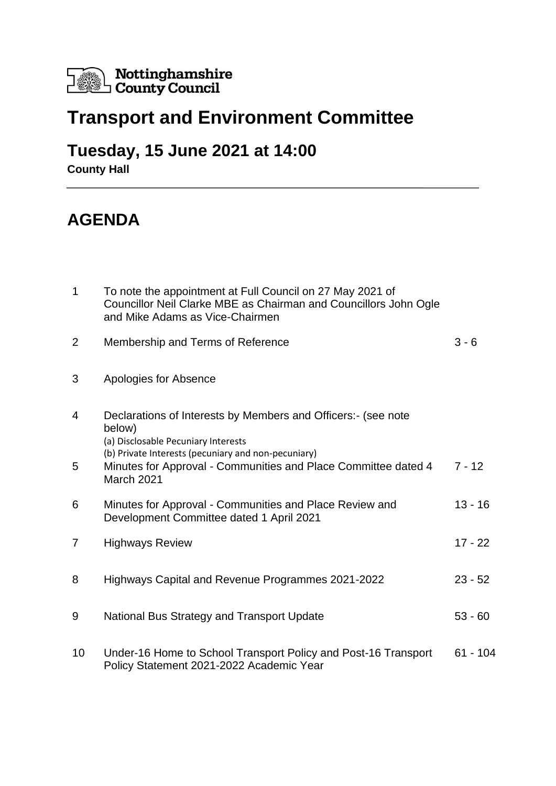

## **Transport and Environment Committee**

## **Tuesday, 15 June 2021 at 14:00**

**County Hall**

## **AGENDA**

| $\mathbf 1$    | To note the appointment at Full Council on 27 May 2021 of<br>Councillor Neil Clarke MBE as Chairman and Councillors John Ogle<br>and Mike Adams as Vice-Chairmen |            |
|----------------|------------------------------------------------------------------------------------------------------------------------------------------------------------------|------------|
| $\overline{2}$ | Membership and Terms of Reference                                                                                                                                | $3 - 6$    |
| 3              | Apologies for Absence                                                                                                                                            |            |
| 4              | Declarations of Interests by Members and Officers:- (see note<br>below)<br>(a) Disclosable Pecuniary Interests                                                   |            |
| 5              | (b) Private Interests (pecuniary and non-pecuniary)<br>Minutes for Approval - Communities and Place Committee dated 4<br><b>March 2021</b>                       | $7 - 12$   |
| 6              | Minutes for Approval - Communities and Place Review and<br>Development Committee dated 1 April 2021                                                              | $13 - 16$  |
| 7              | <b>Highways Review</b>                                                                                                                                           | $17 - 22$  |
| 8              | Highways Capital and Revenue Programmes 2021-2022                                                                                                                | $23 - 52$  |
| 9              | National Bus Strategy and Transport Update                                                                                                                       | $53 - 60$  |
| 10             | Under-16 Home to School Transport Policy and Post-16 Transport<br>Policy Statement 2021-2022 Academic Year                                                       | $61 - 104$ |